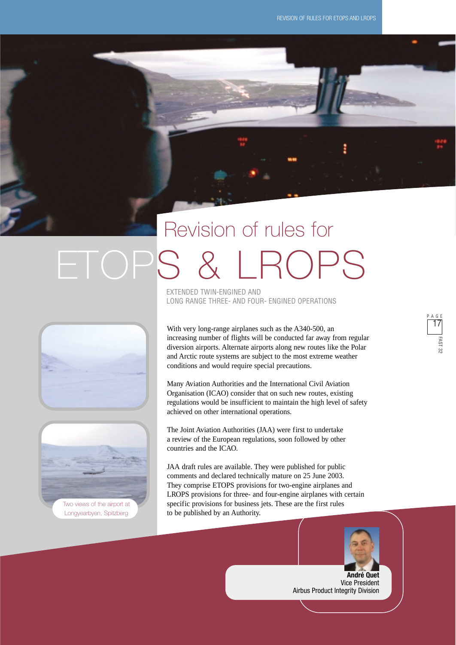# ETOPS & LROPS Revision of rules for

EXTENDED TWIN-ENGINED AND LONG RANGE THREE- AND FOUR- ENGINED OPERATIONS





Longyearbyen, Spitzberg

With very long-range airplanes such as the A340-500, an increasing number of flights will be conducted far away from regular diversion airports. Alternate airports along new routes like the Polar and Arctic route systems are subject to the most extreme weather conditions and would require special precautions.

Many Aviation Authorities and the International Civil Aviation Organisation (ICAO) consider that on such new routes, existing regulations would be insufficient to maintain the high level of safety achieved on other international operations.

The Joint Aviation Authorities (JAA) were first to undertake a review of the European regulations, soon followed by other countries and the ICAO.

JAA draft rules are available. They were published for public comments and declared technically mature on 25 June 2003. They comprise ETOPS provisions for two-engine airplanes and LROPS provisions for three- and four-engine airplanes with certain specific provisions for business jets. These are the first rules to be published by an Authority.



**André Quet** Vice President Airbus Product Integrity Division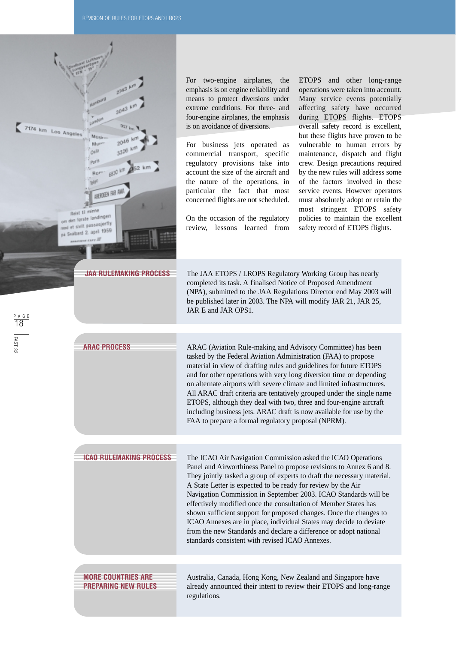| 7174 km Los Angeles    | 2743 km<br><b>Limburg</b><br>3043 km<br>2046 kn<br>Mun<br>QnD<br>Pard<br>ABERDEEN FAR AVA<br>Reist til minne<br>den første landingen<br>sivit passasjertly<br>pa Svalbard 2. april 1959 | For two-engine airplanes,<br>the<br>emphasis is on engine reliability and<br>means to protect diversions under<br>extreme conditions. For three- and<br>four-engine airplanes, the emphasis<br>is on avoidance of diversions.<br>For business jets operated as<br>commercial transport, specific<br>regulatory provisions take into<br>account the size of the aircraft and<br>the nature of the operations, in<br>particular the fact that most<br>concerned flights are not scheduled.<br>On the occasion of the regulatory<br>review, lessons learned from                                                                                                                             | ETOPS and other long-range<br>operations were taken into account.<br>Many service events potentially<br>affecting safety have occurred<br>during ETOPS flights. ETOPS<br>overall safety record is excellent,<br>but these flights have proven to be<br>vulnerable to human errors by<br>maintenance, dispatch and flight<br>crew. Design precautions required<br>by the new rules will address some<br>of the factors involved in these<br>service events. However operators<br>must absolutely adopt or retain the<br>most stringent ETOPS safety<br>policies to maintain the excellent<br>safety record of ETOPS flights. |
|------------------------|-----------------------------------------------------------------------------------------------------------------------------------------------------------------------------------------|-------------------------------------------------------------------------------------------------------------------------------------------------------------------------------------------------------------------------------------------------------------------------------------------------------------------------------------------------------------------------------------------------------------------------------------------------------------------------------------------------------------------------------------------------------------------------------------------------------------------------------------------------------------------------------------------|-----------------------------------------------------------------------------------------------------------------------------------------------------------------------------------------------------------------------------------------------------------------------------------------------------------------------------------------------------------------------------------------------------------------------------------------------------------------------------------------------------------------------------------------------------------------------------------------------------------------------------|
| PAGE<br> 18<br>FAST 32 | JAA RULEMAKING PROCESS                                                                                                                                                                  | The JAA ETOPS / LROPS Regulatory Working Group has nearly<br>completed its task. A finalised Notice of Proposed Amendment<br>(NPA), submitted to the JAA Regulations Director end May 2003 will<br>be published later in 2003. The NPA will modify JAR 21, JAR 25,<br>JAR E and JAR OPS1.                                                                                                                                                                                                                                                                                                                                                                                                 |                                                                                                                                                                                                                                                                                                                                                                                                                                                                                                                                                                                                                             |
|                        | ARAC PROCESS                                                                                                                                                                            | ARAC (Aviation Rule-making and Advisory Committee) has been<br>tasked by the Federal Aviation Administration (FAA) to propose<br>material in view of drafting rules and guidelines for future ETOPS<br>and for other operations with very long diversion time or depending<br>on alternate airports with severe climate and limited infrastructures.<br>All ARAC draft criteria are tentatively grouped under the single name<br>ETOPS, although they deal with two, three and four-engine aircraft<br>including business jets. ARAC draft is now available for use by the<br>FAA to prepare a formal regulatory proposal (NPRM).                                                         |                                                                                                                                                                                                                                                                                                                                                                                                                                                                                                                                                                                                                             |
|                        | ICAO RULEMAKING PROCESS                                                                                                                                                                 | The ICAO Air Navigation Commission asked the ICAO Operations<br>Panel and Airworthiness Panel to propose revisions to Annex 6 and 8.<br>They jointly tasked a group of experts to draft the necessary material.<br>A State Letter is expected to be ready for review by the Air<br>Navigation Commission in September 2003. ICAO Standards will be<br>effectively modified once the consultation of Member States has<br>shown sufficient support for proposed changes. Once the changes to<br>ICAO Annexes are in place, individual States may decide to deviate<br>from the new Standards and declare a difference or adopt national<br>standards consistent with revised ICAO Annexes. |                                                                                                                                                                                                                                                                                                                                                                                                                                                                                                                                                                                                                             |
|                        | <b>MORE COUNTRIES ARE</b><br><b>PREPARING NEW RULES</b>                                                                                                                                 | Australia, Canada, Hong Kong, New Zealand and Singapore have<br>already announced their intent to review their ETOPS and long-range<br>regulations.                                                                                                                                                                                                                                                                                                                                                                                                                                                                                                                                       |                                                                                                                                                                                                                                                                                                                                                                                                                                                                                                                                                                                                                             |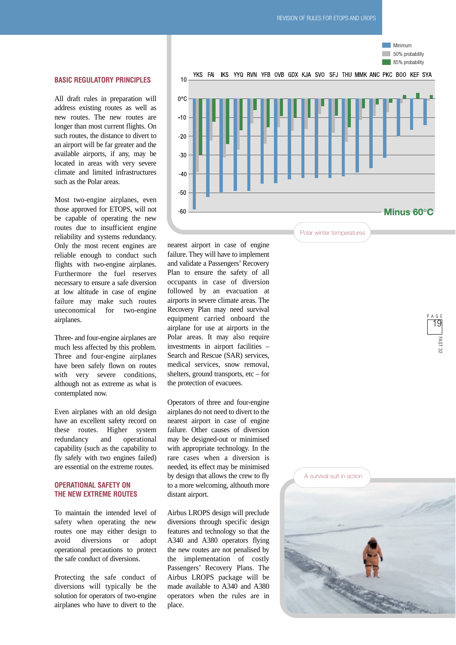**Minimum** 

PAGE

19

FAST 32



All draft rules in preparation will address existing routes as well as new routes. The new routes are longer than most current flights. On such routes, the distance to divert to an airport will be far greater and the available airports, if any, may be located in areas with very severe climate and limited infrastructures such as the Polar areas.

Most two-engine airplanes, even those approved for ETOPS, will not be capable of operating the new routes due to insufficient engine reliability and systems redundancy. Only the most recent engines are reliable enough to conduct such flights with two-engine airplanes. Furthermore the fuel reserves necessary to ensure a safe diversion at low altitude in case of engine failure may make such routes uneconomical for two-engine airplanes.

Three- and four-engine airplanes are much less affected by this problem. Three and four-engine airplanes have been safely flown on routes with very severe conditions, although not as extreme as what is contemplated now.

Even airplanes with an old design have an excellent safety record on these routes. Higher system redundancy and operational capability (such as the capability to fly safely with two engines failed) are essential on the extreme routes.

#### **OPERATIONAL SAFETY ON THE NEW EXTREME ROUTES**

To maintain the intended level of safety when operating the new routes one may either design to avoid diversions or adopt operational precautions to protect the safe conduct of diversions.

Protecting the safe conduct of diversions will typically be the solution for operators of two-engine airplanes who have to divert to the



nearest airport in case of engine failure. They will have to implement and validate a Passengers' Recovery Plan to ensure the safety of all occupants in case of diversion followed by an evacuation at airports in severe climate areas. The Recovery Plan may need survival equipment carried onboard the airplane for use at airports in the Polar areas. It may also require investments in airport facilities – Search and Rescue (SAR) services, medical services, snow removal, shelters, ground transports, etc – for the protection of evacuees.

Operators of three and four-engine airplanes do not need to divert to the nearest airport in case of engine failure. Other causes of diversion may be designed-out or minimised with appropriate technology. In the rare cases when a diversion is needed, its effect may be minimised by design that allows the crew to fly to a more welcoming, althouth more distant airport.

Airbus LROPS design will preclude diversions through specific design features and technology so that the A340 and A380 operators flying the new routes are not penalised by the implementation of costly Passengers' Recovery Plans. The Airbus LROPS package will be made available to A340 and A380 operators when the rules are in place.

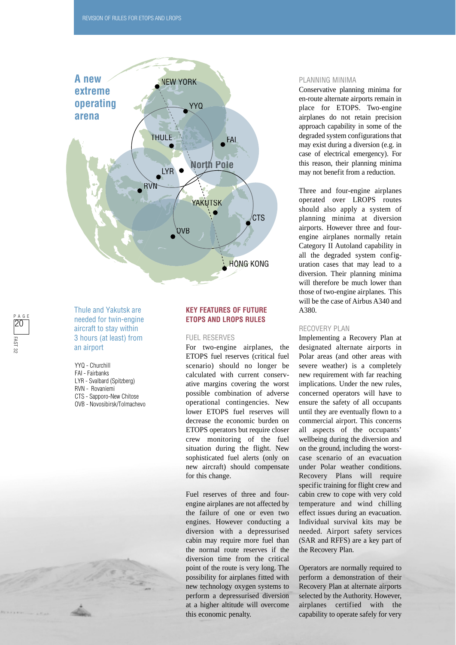

Thule and Yakutsk are needed for twin-engine aircraft to stay within 3 hours (at least) from an airport

YYQ - Churchill FAI - Fairbanks LYR - Svalbard (Spitzberg) RVN - Rovaniemi CTS - Sapporo-New Chitose OVB - Novosibirsk/Tolmachevo

#### **KEY FEATURES OF FUTURE ETOPS AND LROPS RULES**

#### FUEL RESERVES

For two-engine airplanes, the ETOPS fuel reserves (critical fuel scenario) should no longer be calculated with current conservative margins covering the worst possible combination of adverse operational contingencies. New lower ETOPS fuel reserves will decrease the economic burden on ETOPS operators but require closer crew monitoring of the fuel situation during the flight. New sophisticated fuel alerts (only on new aircraft) should compensate for this change.

Fuel reserves of three and fourengine airplanes are not affected by the failure of one or even two engines. However conducting a diversion with a depressurised cabin may require more fuel than the normal route reserves if the diversion time from the critical point of the route is very long. The possibility for airplanes fitted with new technology oxygen systems to perform a depressurised diversion at a higher altitude will overcome this economic penalty.

#### PLANNING MINIMA

Conservative planning minima for en-route alternate airports remain in place for ETOPS. Two-engine airplanes do not retain precision approach capability in some of the degraded system configurations that may exist during a diversion (e.g. in case of electrical emergency). For this reason, their planning minima may not benefit from a reduction.

Three and four-engine airplanes operated over LROPS routes should also apply a system of planning minima at diversion airports. However three and fourengine airplanes normally retain Category II Autoland capability in all the degraded system configuration cases that may lead to a diversion. Their planning minima will therefore be much lower than those of two-engine airplanes. This will be the case of Airbus A340 and A380.

#### RECOVERY PLAN

Implementing a Recovery Plan at designated alternate airports in Polar areas (and other areas with severe weather) is a completely new requirement with far reaching implications. Under the new rules, concerned operators will have to ensure the safety of all occupants until they are eventually flown to a commercial airport. This concerns all aspects of the occupants' wellbeing during the diversion and on the ground, including the worstcase scenario of an evacuation under Polar weather conditions. Recovery Plans will require specific training for flight crew and cabin crew to cope with very cold temperature and wind chilling effect issues during an evacuation. Individual survival kits may be needed. Airport safety services (SAR and RFFS) are a key part of the Recovery Plan.

Operators are normally required to perform a demonstration of their Recovery Plan at alternate airports selected by the Authority. However, airplanes certified with the capability to operate safely for very

PAGE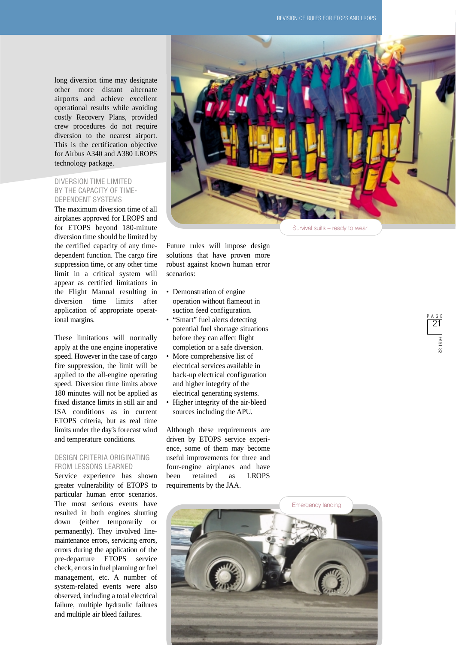long diversion time may designate other more distant alternate airports and achieve excellent operational results while avoiding costly Recovery Plans, provided crew procedures do not require diversion to the nearest airport. This is the certification objective for Airbus A340 and A380 LROPS technology package.

#### DIVERSION TIME LIMITED BY THE CAPACITY OF TIME-DEPENDENT SYSTEMS

The maximum diversion time of all airplanes approved for LROPS and for ETOPS beyond 180-minute diversion time should be limited by the certified capacity of any timedependent function. The cargo fire suppression time, or any other time limit in a critical system will appear as certified limitations in the Flight Manual resulting in diversion time limits after application of appropriate operational margins.

These limitations will normally apply at the one engine inoperative speed. However in the case of cargo fire suppression, the limit will be applied to the all-engine operating speed. Diversion time limits above 180 minutes will not be applied as fixed distance limits in still air and ISA conditions as in current ETOPS criteria, but as real time limits under the day's forecast wind and temperature conditions.

#### DESIGN CRITERIA ORIGINATING FROM LESSONS LEARNED

Service experience has shown greater vulnerability of ETOPS to particular human error scenarios. The most serious events have resulted in both engines shutting down (either temporarily or permanently). They involved linemaintenance errors, servicing errors, errors during the application of the pre-departure ETOPS service check, errors in fuel planning or fuel management, etc. A number of system-related events were also observed, including a total electrical failure, multiple hydraulic failures and multiple air bleed failures.



Future rules will impose design solutions that have proven more robust against known human error scenarios:

- Demonstration of engine operation without flameout in suction feed configuration.
- "Smart" fuel alerts detecting potential fuel shortage situations before they can affect flight completion or a safe diversion.
- More comprehensive list of electrical services available in back-up electrical configuration and higher integrity of the electrical generating systems.
- Higher integrity of the air-bleed sources including the APU.

Although these requirements are driven by ETOPS service experience, some of them may become useful improvements for three and four-engine airplanes and have been retained as LROPS requirements by the JAA.

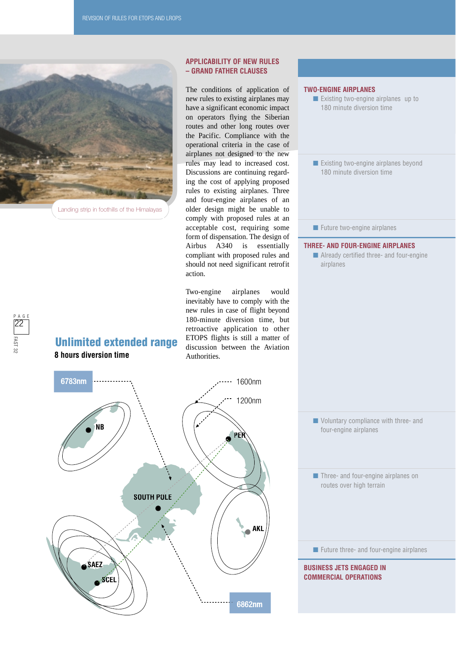

Landing strip in foothills of the Himalayas

#### **APPLICABILITY OF NEW RULES – GRAND FATHER CLAUSES**

The conditions of application of new rules to existing airplanes may have a significant economic impact on operators flying the Siberian routes and other long routes over the Pacific. Compliance with the operational criteria in the case of airplanes not designed to the new rules may lead to increased cost. Discussions are continuing regarding the cost of applying proposed rules to existing airplanes. Three and four-engine airplanes of an older design might be unable to comply with proposed rules at an acceptable cost, requiring some form of dispensation. The design of Airbus A340 is essentially compliant with proposed rules and should not need significant retrofit action.

Two-engine airplanes would inevitably have to comply with the new rules in case of flight beyond 180-minute diversion time, but retroactive application to other ETOPS flights is still a matter of discussion between the Aviation Authorities.



■ Already certified three- and four-engine airplanes

## 6783nm 1600nm 1200nm **NB PER SOUTH POLE AKL SAEZ SCEL** 6862nm



### **8 hours diversion time Unlimited extended range**

PAGE

22

FAST 32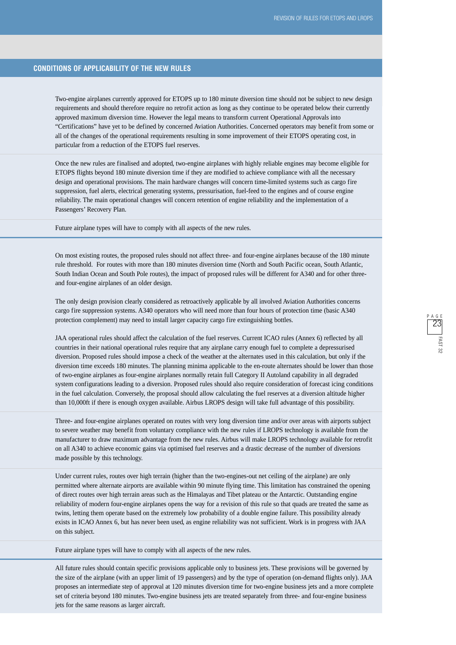Two-engine airplanes currently approved for ETOPS up to 180 minute diversion time should not be subject to new design requirements and should therefore require no retrofit action as long as they continue to be operated below their currently approved maximum diversion time. However the legal means to transform current Operational Approvals into "Certifications" have yet to be defined by concerned Aviation Authorities. Concerned operators may benefit from some or all of the changes of the operational requirements resulting in some improvement of their ETOPS operating cost, in particular from a reduction of the ETOPS fuel reserves.

Once the new rules are finalised and adopted, two-engine airplanes with highly reliable engines may become eligible for ETOPS flights beyond 180 minute diversion time if they are modified to achieve compliance with all the necessary design and operational provisions. The main hardware changes will concern time-limited systems such as cargo fire suppression, fuel alerts, electrical generating systems, pressurisation, fuel-feed to the engines and of course engine reliability. The main operational changes will concern retention of engine reliability and the implementation of a Passengers' Recovery Plan.

Future airplane types will have to comply with all aspects of the new rules.

On most existing routes, the proposed rules should not affect three- and four-engine airplanes because of the 180 minute rule threshold. For routes with more than 180 minutes diversion time (North and South Pacific ocean, South Atlantic, South Indian Ocean and South Pole routes), the impact of proposed rules will be different for A340 and for other threeand four-engine airplanes of an older design.

The only design provision clearly considered as retroactively applicable by all involved Aviation Authorities concerns cargo fire suppression systems. A340 operators who will need more than four hours of protection time (basic A340 protection complement) may need to install larger capacity cargo fire extinguishing bottles.

JAA operational rules should affect the calculation of the fuel reserves. Current ICAO rules (Annex 6) reflected by all countries in their national operational rules require that any airplane carry enough fuel to complete a depressurised diversion. Proposed rules should impose a check of the weather at the alternates used in this calculation, but only if the diversion time exceeds 180 minutes. The planning minima applicable to the en-route alternates should be lower than those of two-engine airplanes as four-engine airplanes normally retain full Category II Autoland capability in all degraded system configurations leading to a diversion. Proposed rules should also require consideration of forecast icing conditions in the fuel calculation. Conversely, the proposal should allow calculating the fuel reserves at a diversion altitude higher than 10,000ft if there is enough oxygen available. Airbus LROPS design will take full advantage of this possibility.

Three- and four-engine airplanes operated on routes with very long diversion time and/or over areas with airports subject to severe weather may benefit from voluntary compliance with the new rules if LROPS technology is available from the manufacturer to draw maximum advantage from the new rules. Airbus will make LROPS technology available for retrofit on all A340 to achieve economic gains via optimised fuel reserves and a drastic decrease of the number of diversions made possible by this technology.

Under current rules, routes over high terrain (higher than the two-engines-out net ceiling of the airplane) are only permitted where alternate airports are available within 90 minute flying time. This limitation has constrained the opening of direct routes over high terrain areas such as the Himalayas and Tibet plateau or the Antarctic. Outstanding engine reliability of modern four-engine airplanes opens the way for a revision of this rule so that quads are treated the same as twins, letting them operate based on the extremely low probability of a double engine failure. This possibility already exists in ICAO Annex 6, but has never been used, as engine reliability was not sufficient. Work is in progress with JAA on this subject.

Future airplane types will have to comply with all aspects of the new rules.

All future rules should contain specific provisions applicable only to business jets. These provisions will be governed by the size of the airplane (with an upper limit of 19 passengers) and by the type of operation (on-demand flights only). JAA proposes an intermediate step of approval at 120 minutes diversion time for two-engine business jets and a more complete set of criteria beyond 180 minutes. Two-engine business jets are treated separately from three- and four-engine business jets for the same reasons as larger aircraft.